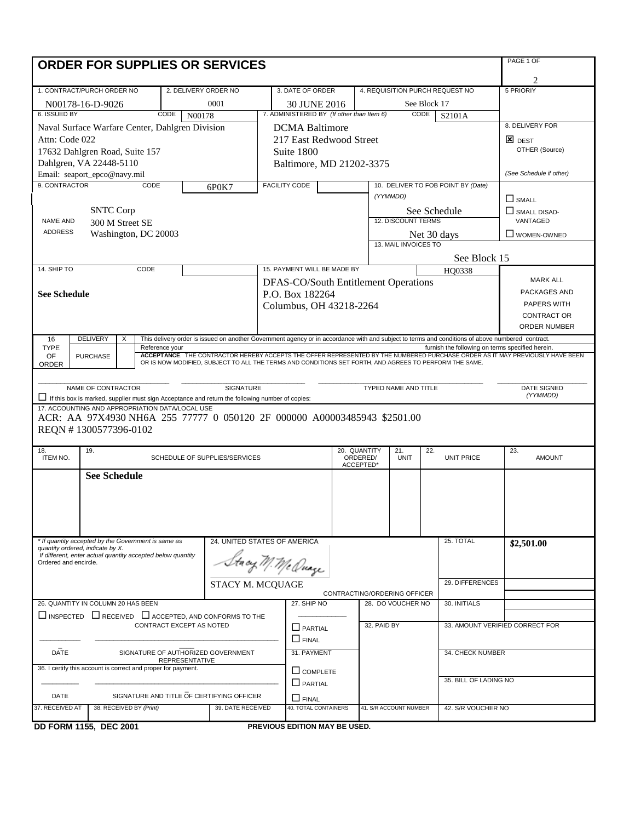| PAGE 1 OF<br><b>ORDER FOR SUPPLIES OR SERVICES</b>                                                                                                                                                                                                                        |  |  |  |  |  |  |  |  |
|---------------------------------------------------------------------------------------------------------------------------------------------------------------------------------------------------------------------------------------------------------------------------|--|--|--|--|--|--|--|--|
| 2                                                                                                                                                                                                                                                                         |  |  |  |  |  |  |  |  |
| 1. CONTRACT/PURCH ORDER NO<br>2. DELIVERY ORDER NO<br>3. DATE OF ORDER<br>4. REQUISITION PURCH REQUEST NO<br>5 PRIORIY                                                                                                                                                    |  |  |  |  |  |  |  |  |
| 0001<br>See Block 17<br>N00178-16-D-9026<br>30 JUNE 2016                                                                                                                                                                                                                  |  |  |  |  |  |  |  |  |
| 6. ISSUED BY<br>7. ADMINISTERED BY (If other than Item 6)<br>CODE<br>CODE<br>N00178<br>S2101A                                                                                                                                                                             |  |  |  |  |  |  |  |  |
| 8. DELIVERY FOR<br>Naval Surface Warfare Center, Dahlgren Division<br><b>DCMA</b> Baltimore                                                                                                                                                                               |  |  |  |  |  |  |  |  |
| Attn: Code 022<br>217 East Redwood Street<br>$\mathbf{z}$ dest                                                                                                                                                                                                            |  |  |  |  |  |  |  |  |
| OTHER (Source)<br>17632 Dahlgren Road, Suite 157<br>Suite 1800                                                                                                                                                                                                            |  |  |  |  |  |  |  |  |
| Dahlgren, VA 22448-5110<br>Baltimore, MD 21202-3375                                                                                                                                                                                                                       |  |  |  |  |  |  |  |  |
| (See Schedule if other)<br>Email: seaport_epco@navy.mil                                                                                                                                                                                                                   |  |  |  |  |  |  |  |  |
| 9. CONTRACTOR<br>CODE<br><b>FACILITY CODE</b><br>10. DELIVER TO FOB POINT BY (Date)<br>6P0K7                                                                                                                                                                              |  |  |  |  |  |  |  |  |
| (YYMMDD)<br>$\Box$ SMALL                                                                                                                                                                                                                                                  |  |  |  |  |  |  |  |  |
| <b>SNTC Corp</b><br>See Schedule<br>$\Box$ SMALL DISAD-                                                                                                                                                                                                                   |  |  |  |  |  |  |  |  |
| <b>12. DISCOUNT TERMS</b><br>VANTAGED<br>NAME AND<br>300 M Street SE                                                                                                                                                                                                      |  |  |  |  |  |  |  |  |
| <b>ADDRESS</b><br>Washington, DC 20003<br>Net 30 days<br>U WOMEN-OWNED                                                                                                                                                                                                    |  |  |  |  |  |  |  |  |
| 13. MAIL INVOICES TO                                                                                                                                                                                                                                                      |  |  |  |  |  |  |  |  |
| See Block 15                                                                                                                                                                                                                                                              |  |  |  |  |  |  |  |  |
| 14. SHIP TO<br>CODE<br>15. PAYMENT WILL BE MADE BY<br>HO0338<br><b>MARK ALL</b>                                                                                                                                                                                           |  |  |  |  |  |  |  |  |
| DFAS-CO/South Entitlement Operations<br>PACKAGES AND                                                                                                                                                                                                                      |  |  |  |  |  |  |  |  |
| <b>See Schedule</b><br>P.O. Box 182264<br>PAPERS WITH                                                                                                                                                                                                                     |  |  |  |  |  |  |  |  |
| Columbus, OH 43218-2264<br>CONTRACT OR                                                                                                                                                                                                                                    |  |  |  |  |  |  |  |  |
| <b>ORDER NUMBER</b>                                                                                                                                                                                                                                                       |  |  |  |  |  |  |  |  |
| <b>DELIVERY</b><br>This delivery order is issued on another Government agency or in accordance with and subject to terms and conditions of above numbered contract.<br>16<br>X                                                                                            |  |  |  |  |  |  |  |  |
| <b>TYPE</b><br>Reference your<br>furnish the following on terms specified herein.                                                                                                                                                                                         |  |  |  |  |  |  |  |  |
| ACCEPTANCE. THE CONTRACTOR HEREBY ACCEPTS THE OFFER REPRESENTED BY THE NUMBERED PURCHASE ORDER AS IT MAY PREVIOUSLY HAVE BEEN<br>OF<br><b>PURCHASE</b><br>OR IS NOW MODIFIED, SUBJECT TO ALL THE TERMS AND CONDITIONS SET FORTH, AND AGREES TO PERFORM THE SAME.<br>ORDER |  |  |  |  |  |  |  |  |
|                                                                                                                                                                                                                                                                           |  |  |  |  |  |  |  |  |
| NAME OF CONTRACTOR<br><b>SIGNATURE</b><br>TYPED NAME AND TITLE<br><b>DATE SIGNED</b>                                                                                                                                                                                      |  |  |  |  |  |  |  |  |
| (YYMMDD)<br>If this box is marked, supplier must sign Acceptance and return the following number of copies:                                                                                                                                                               |  |  |  |  |  |  |  |  |
| 17. ACCOUNTING AND APPROPRIATION DATA/LOCAL USE                                                                                                                                                                                                                           |  |  |  |  |  |  |  |  |
| ACR: AA 97X4930 NH6A 255 77777 0 050120 2F 000000 A00003485943 \$2501.00                                                                                                                                                                                                  |  |  |  |  |  |  |  |  |
| REQN #1300577396-0102                                                                                                                                                                                                                                                     |  |  |  |  |  |  |  |  |
| 18.<br>19.<br>20. QUANTITY<br>21.<br>22.<br>23.                                                                                                                                                                                                                           |  |  |  |  |  |  |  |  |
| ITEM NO.<br>SCHEDULE OF SUPPLIES/SERVICES<br>ORDERED/<br><b>UNIT</b><br><b>UNIT PRICE</b><br><b>AMOUNT</b><br>ACCEPTED*                                                                                                                                                   |  |  |  |  |  |  |  |  |
| <b>See Schedule</b>                                                                                                                                                                                                                                                       |  |  |  |  |  |  |  |  |
|                                                                                                                                                                                                                                                                           |  |  |  |  |  |  |  |  |
|                                                                                                                                                                                                                                                                           |  |  |  |  |  |  |  |  |
|                                                                                                                                                                                                                                                                           |  |  |  |  |  |  |  |  |
|                                                                                                                                                                                                                                                                           |  |  |  |  |  |  |  |  |
| * If quantity accepted by the Government is same as<br>24. UNITED STATES OF AMERICA<br>25. TOTAL<br>\$2,501.00                                                                                                                                                            |  |  |  |  |  |  |  |  |
| quantity ordered, indicate by X.<br>If different, enter actual quantity accepted below quantity                                                                                                                                                                           |  |  |  |  |  |  |  |  |
| Stacy M. Me Quage<br>Ordered and encircle.                                                                                                                                                                                                                                |  |  |  |  |  |  |  |  |
|                                                                                                                                                                                                                                                                           |  |  |  |  |  |  |  |  |
| 29. DIFFERENCES<br>STACY M. MCQUAGE                                                                                                                                                                                                                                       |  |  |  |  |  |  |  |  |
| CONTRACTING/ORDERING OFFICER<br>26. QUANTITY IN COLUMN 20 HAS BEEN<br>27. SHIP NO<br>28. DO VOUCHER NO<br>30. INITIALS                                                                                                                                                    |  |  |  |  |  |  |  |  |
|                                                                                                                                                                                                                                                                           |  |  |  |  |  |  |  |  |
|                                                                                                                                                                                                                                                                           |  |  |  |  |  |  |  |  |
| $\Box$ INSPECTED $\Box$ RECEIVED $\Box$ ACCEPTED. AND CONFORMS TO THE<br>CONTRACT EXCEPT AS NOTED<br>32. PAID BY<br>33. AMOUNT VERIFIED CORRECT FOR                                                                                                                       |  |  |  |  |  |  |  |  |
| $\Box$ PARTIAL                                                                                                                                                                                                                                                            |  |  |  |  |  |  |  |  |
| $\Box$ FINAL                                                                                                                                                                                                                                                              |  |  |  |  |  |  |  |  |
| <b>DATE</b><br>SIGNATURE OF AUTHORIZED GOVERNMENT<br>31. PAYMENT<br>34. CHECK NUMBER<br><b>REPRESENTATIVE</b>                                                                                                                                                             |  |  |  |  |  |  |  |  |
| 36. I certify this account is correct and proper for payment.<br>$\Box$ COMPLETE                                                                                                                                                                                          |  |  |  |  |  |  |  |  |
| 35. BILL OF LADING NO<br>$\Box$ PARTIAL                                                                                                                                                                                                                                   |  |  |  |  |  |  |  |  |
| SIGNATURE AND TITLE OF CERTIFYING OFFICER<br>DATE<br>$\sqcup$ final                                                                                                                                                                                                       |  |  |  |  |  |  |  |  |
| <b>40. TOTAL CONTAINERS</b><br>38. RECEIVED BY (Print)<br>41. S/R ACCOUNT NUMBER<br>37. RECEIVED AT<br>39. DATE RECEIVED<br>42. S/R VOUCHER NO                                                                                                                            |  |  |  |  |  |  |  |  |